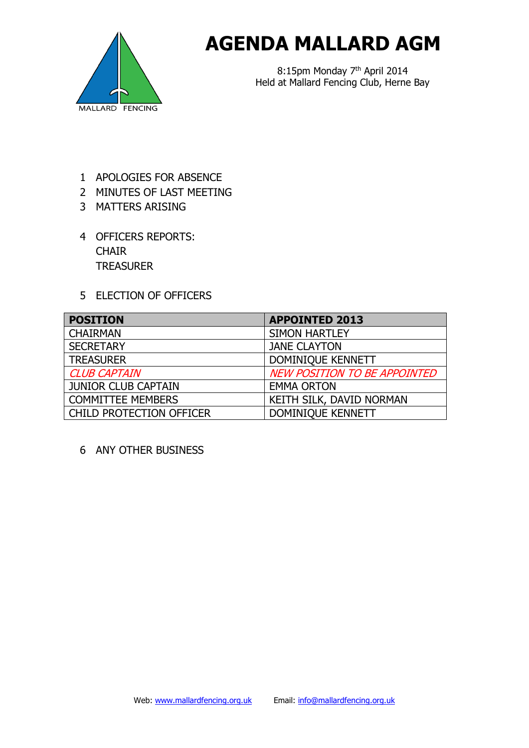

## **AGENDA MALLARD AGM**

8:15pm Monday 7<sup>th</sup> April 2014 Held at Mallard Fencing Club, Herne Bay

- 1 APOLOGIES FOR ABSENCE
- 2 MINUTES OF LAST MEETING
- 3 MATTERS ARISING
- 4 OFFICERS REPORTS: **CHAIR TREASURER**
- 5 ELECTION OF OFFICERS

| <b>POSITION</b>                 | <b>APPOINTED 2013</b>               |
|---------------------------------|-------------------------------------|
| <b>CHAIRMAN</b>                 | <b>SIMON HARTLEY</b>                |
| <b>SECRETARY</b>                | <b>JANE CLAYTON</b>                 |
| <b>TREASURER</b>                | <b>DOMINIQUE KENNETT</b>            |
| <b>CLUB CAPTAIN</b>             | <b>NEW POSITION TO BE APPOINTED</b> |
| <b>JUNIOR CLUB CAPTAIN</b>      | <b>EMMA ORTON</b>                   |
| <b>COMMITTEE MEMBERS</b>        | KEITH SILK, DAVID NORMAN            |
| <b>CHILD PROTECTION OFFICER</b> | DOMINIQUE KENNETT                   |

6 ANY OTHER BUSINESS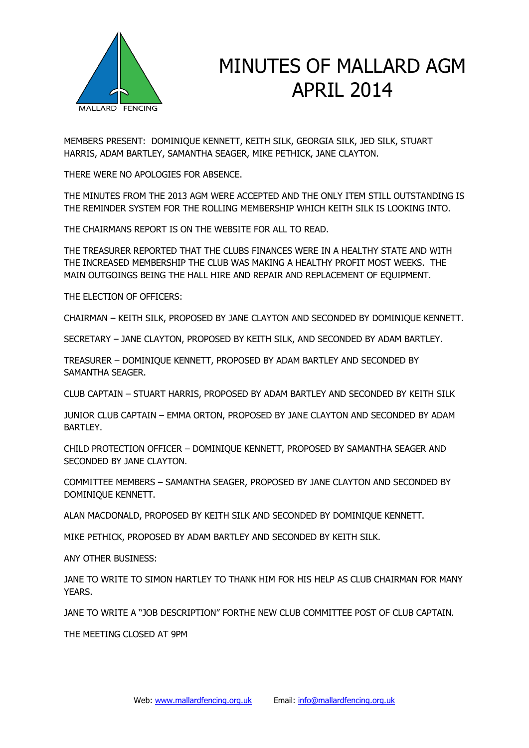

## MINUTES OF MALLARD AGM APRIL 2014

MEMBERS PRESENT: DOMINIQUE KENNETT, KEITH SILK, GEORGIA SILK, JED SILK, STUART HARRIS, ADAM BARTLEY, SAMANTHA SEAGER, MIKE PETHICK, JANE CLAYTON.

THERE WERE NO APOLOGIES FOR ABSENCE.

THE MINUTES FROM THE 2013 AGM WERE ACCEPTED AND THE ONLY ITEM STILL OUTSTANDING IS THE REMINDER SYSTEM FOR THE ROLLING MEMBERSHIP WHICH KEITH SILK IS LOOKING INTO.

THE CHAIRMANS REPORT IS ON THE WEBSITE FOR ALL TO READ.

THE TREASURER REPORTED THAT THE CLUBS FINANCES WERE IN A HEALTHY STATE AND WITH THE INCREASED MEMBERSHIP THE CLUB WAS MAKING A HEALTHY PROFIT MOST WEEKS. THE MAIN OUTGOINGS BEING THE HALL HIRE AND REPAIR AND REPLACEMENT OF EQUIPMENT.

THE ELECTION OF OFFICERS:

CHAIRMAN – KEITH SILK, PROPOSED BY JANE CLAYTON AND SECONDED BY DOMINIQUE KENNETT.

SECRETARY – JANE CLAYTON, PROPOSED BY KEITH SILK, AND SECONDED BY ADAM BARTLEY.

TREASURER – DOMINIQUE KENNETT, PROPOSED BY ADAM BARTLEY AND SECONDED BY SAMANTHA SEAGER.

CLUB CAPTAIN – STUART HARRIS, PROPOSED BY ADAM BARTLEY AND SECONDED BY KEITH SILK

JUNIOR CLUB CAPTAIN – EMMA ORTON, PROPOSED BY JANE CLAYTON AND SECONDED BY ADAM BARTLEY.

CHILD PROTECTION OFFICER – DOMINIQUE KENNETT, PROPOSED BY SAMANTHA SEAGER AND SECONDED BY JANE CLAYTON.

COMMITTEE MEMBERS – SAMANTHA SEAGER, PROPOSED BY JANE CLAYTON AND SECONDED BY DOMINIQUE KENNETT.

ALAN MACDONALD, PROPOSED BY KEITH SILK AND SECONDED BY DOMINIQUE KENNETT.

MIKE PETHICK, PROPOSED BY ADAM BARTLEY AND SECONDED BY KEITH SILK.

ANY OTHER BUSINESS:

JANE TO WRITE TO SIMON HARTLEY TO THANK HIM FOR HIS HELP AS CLUB CHAIRMAN FOR MANY YEARS.

JANE TO WRITE A "JOB DESCRIPTION" FORTHE NEW CLUB COMMITTEE POST OF CLUB CAPTAIN.

THE MEETING CLOSED AT 9PM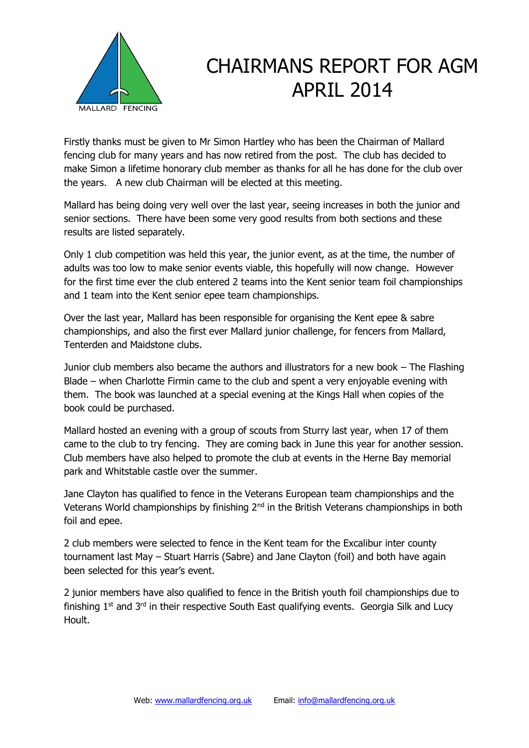

## CHAIRMANS REPORT FOR AGM APRIL 2014

Firstly thanks must be given to Mr Simon Hartley who has been the Chairman of Mallard fencing club for many years and has now retired from the post. The club has decided to make Simon a lifetime honorary club member as thanks for all he has done for the club over the years. A new club Chairman will be elected at this meeting.

Mallard has being doing very well over the last year, seeing increases in both the junior and senior sections. There have been some very good results from both sections and these results are listed separately.

Only 1 club competition was held this year, the junior event, as at the time, the number of adults was too low to make senior events viable, this hopefully will now change. However for the first time ever the club entered 2 teams into the Kent senior team foil championships and 1 team into the Kent senior epee team championships.

Over the last year, Mallard has been responsible for organising the Kent epee & sabre championships, and also the first ever Mallard junior challenge, for fencers from Mallard, Tenterden and Maidstone clubs.

Junior club members also became the authors and illustrators for a new book – The Flashing Blade – when Charlotte Firmin came to the club and spent a very enjoyable evening with them. The book was launched at a special evening at the Kings Hall when copies of the book could be purchased.

Mallard hosted an evening with a group of scouts from Sturry last year, when 17 of them came to the club to try fencing. They are coming back in June this year for another session. Club members have also helped to promote the club at events in the Herne Bay memorial park and Whitstable castle over the summer.

Jane Clayton has qualified to fence in the Veterans European team championships and the Veterans World championships by finishing  $2<sup>nd</sup>$  in the British Veterans championships in both foil and epee.

2 club members were selected to fence in the Kent team for the Excalibur inter county tournament last May – Stuart Harris (Sabre) and Jane Clayton (foil) and both have again been selected for this year's event.

2 junior members have also qualified to fence in the British youth foil championships due to finishing  $1<sup>st</sup>$  and  $3<sup>rd</sup>$  in their respective South East qualifying events. Georgia Silk and Lucy Hoult.